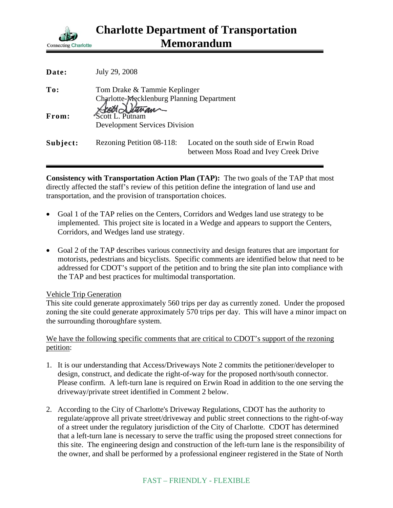

| Date:    | July 29, 2008                                                             |                                                                                   |
|----------|---------------------------------------------------------------------------|-----------------------------------------------------------------------------------|
| To:      | Tom Drake & Tammie Keplinger<br>Charlotte-Mecklenburg Planning Department |                                                                                   |
| From:    | Scott Detran<br><b>Development Services Division</b>                      |                                                                                   |
| Subject: | Rezoning Petition 08-118:                                                 | Located on the south side of Erwin Road<br>between Moss Road and Ivey Creek Drive |

**Consistency with Transportation Action Plan (TAP):** The two goals of the TAP that most directly affected the staff's review of this petition define the integration of land use and transportation, and the provision of transportation choices.

- Goal 1 of the TAP relies on the Centers, Corridors and Wedges land use strategy to be implemented. This project site is located in a Wedge and appears to support the Centers, Corridors, and Wedges land use strategy.
- Goal 2 of the TAP describes various connectivity and design features that are important for motorists, pedestrians and bicyclists. Specific comments are identified below that need to be addressed for CDOT's support of the petition and to bring the site plan into compliance with the TAP and best practices for multimodal transportation.

## Vehicle Trip Generation

This site could generate approximately 560 trips per day as currently zoned. Under the proposed zoning the site could generate approximately 570 trips per day. This will have a minor impact on the surrounding thoroughfare system.

## We have the following specific comments that are critical to CDOT's support of the rezoning petition:

- 1. It is our understanding that Access/Driveways Note 2 commits the petitioner/developer to design, construct, and dedicate the right-of-way for the proposed north/south connector. Please confirm. A left-turn lane is required on Erwin Road in addition to the one serving the driveway/private street identified in Comment 2 below.
- 2. According to the City of Charlotte's Driveway Regulations, CDOT has the authority to regulate/approve all private street/driveway and public street connections to the right-of-way of a street under the regulatory jurisdiction of the City of Charlotte. CDOT has determined that a left-turn lane is necessary to serve the traffic using the proposed street connections for this site. The engineering design and construction of the left-turn lane is the responsibility of the owner, and shall be performed by a professional engineer registered in the State of North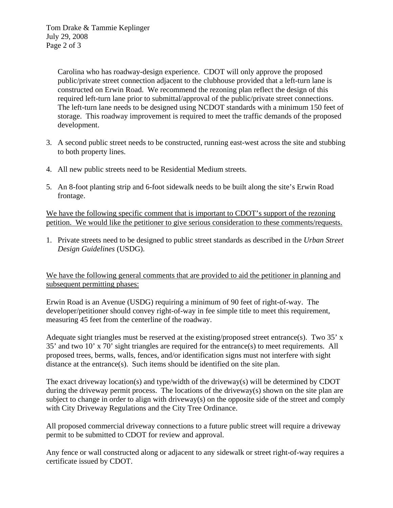Carolina who has roadway-design experience. CDOT will only approve the proposed public/private street connection adjacent to the clubhouse provided that a left-turn lane is constructed on Erwin Road. We recommend the rezoning plan reflect the design of this required left-turn lane prior to submittal/approval of the public/private street connections. The left-turn lane needs to be designed using NCDOT standards with a minimum 150 feet of storage. This roadway improvement is required to meet the traffic demands of the proposed development.

- 3. A second public street needs to be constructed, running east-west across the site and stubbing to both property lines.
- 4. All new public streets need to be Residential Medium streets.
- 5. An 8-foot planting strip and 6-foot sidewalk needs to be built along the site's Erwin Road frontage.

We have the following specific comment that is important to CDOT's support of the rezoning petition. We would like the petitioner to give serious consideration to these comments/requests.

1. Private streets need to be designed to public street standards as described in the *Urban Street Design Guidelines* (USDG).

We have the following general comments that are provided to aid the petitioner in planning and subsequent permitting phases:

Erwin Road is an Avenue (USDG) requiring a minimum of 90 feet of right-of-way. The developer/petitioner should convey right-of-way in fee simple title to meet this requirement, measuring 45 feet from the centerline of the roadway.

Adequate sight triangles must be reserved at the existing/proposed street entrance(s). Two 35' x 35' and two 10' x 70' sight triangles are required for the entrance(s) to meet requirements. All proposed trees, berms, walls, fences, and/or identification signs must not interfere with sight distance at the entrance(s). Such items should be identified on the site plan.

The exact driveway location(s) and type/width of the driveway(s) will be determined by CDOT during the driveway permit process. The locations of the driveway $(s)$  shown on the site plan are subject to change in order to align with driveway(s) on the opposite side of the street and comply with City Driveway Regulations and the City Tree Ordinance.

All proposed commercial driveway connections to a future public street will require a driveway permit to be submitted to CDOT for review and approval.

Any fence or wall constructed along or adjacent to any sidewalk or street right-of-way requires a certificate issued by CDOT.